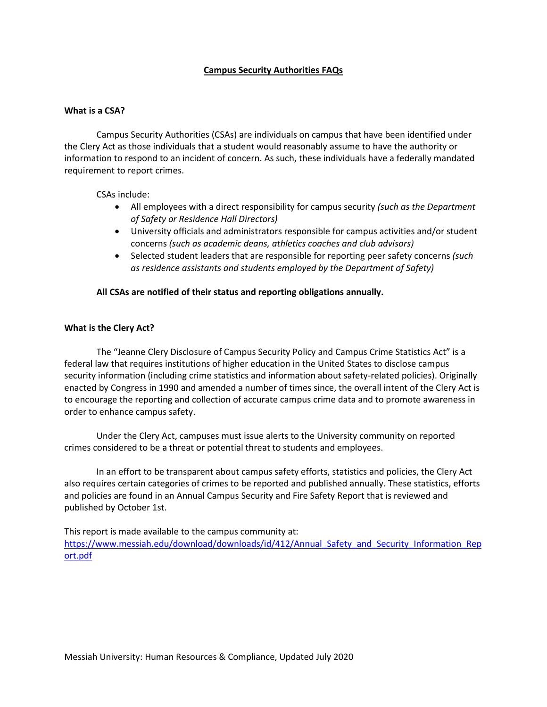# **Campus Security Authorities FAQs**

## **What is a CSA?**

Campus Security Authorities (CSAs) are individuals on campus that have been identified under the Clery Act as those individuals that a student would reasonably assume to have the authority or information to respond to an incident of concern. As such, these individuals have a federally mandated requirement to report crimes.

CSAs include:

- All employees with a direct responsibility for campus security *(such as the Department of Safety or Residence Hall Directors)*
- University officials and administrators responsible for campus activities and/or student concerns *(such as academic deans, athletics coaches and club advisors)*
- Selected student leaders that are responsible for reporting peer safety concerns *(such as residence assistants and students employed by the Department of Safety)*

## **All CSAs are notified of their status and reporting obligations annually.**

## **What is the Clery Act?**

The "Jeanne Clery Disclosure of Campus Security Policy and Campus Crime Statistics Act" is a federal law that requires institutions of higher education in the United States to disclose campus security information (including crime statistics and information about safety-related policies). Originally enacted by Congress in 1990 and amended a number of times since, the overall intent of the Clery Act is to encourage the reporting and collection of accurate campus crime data and to promote awareness in order to enhance campus safety.

Under the Clery Act, campuses must issue alerts to the University community on reported crimes considered to be a threat or potential threat to students and employees.

In an effort to be transparent about campus safety efforts, statistics and policies, the Clery Act also requires certain categories of crimes to be reported and published annually. These statistics, efforts and policies are found in an Annual Campus Security and Fire Safety Report that is reviewed and published by October 1st.

This report is made available to the campus community at: [https://www.messiah.edu/download/downloads/id/412/Annual\\_Safety\\_and\\_Security\\_Information\\_Rep](https://www.messiah.edu/download/downloads/id/412/Annual_Safety_and_Security_Information_Report.pdf) [ort.pdf](https://www.messiah.edu/download/downloads/id/412/Annual_Safety_and_Security_Information_Report.pdf)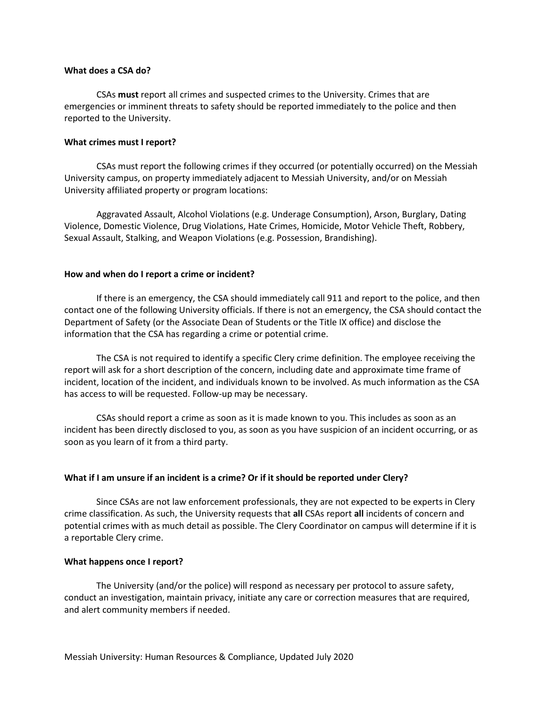#### **What does a CSA do?**

CSAs **must** report all crimes and suspected crimes to the University. Crimes that are emergencies or imminent threats to safety should be reported immediately to the police and then reported to the University.

## **What crimes must I report?**

CSAs must report the following crimes if they occurred (or potentially occurred) on the Messiah University campus, on property immediately adjacent to Messiah University, and/or on Messiah University affiliated property or program locations:

Aggravated Assault, Alcohol Violations (e.g. Underage Consumption), Arson, Burglary, Dating Violence, Domestic Violence, Drug Violations, Hate Crimes, Homicide, Motor Vehicle Theft, Robbery, Sexual Assault, Stalking, and Weapon Violations (e.g. Possession, Brandishing).

#### **How and when do I report a crime or incident?**

If there is an emergency, the CSA should immediately call 911 and report to the police, and then contact one of the following University officials. If there is not an emergency, the CSA should contact the Department of Safety (or the Associate Dean of Students or the Title IX office) and disclose the information that the CSA has regarding a crime or potential crime.

The CSA is not required to identify a specific Clery crime definition. The employee receiving the report will ask for a short description of the concern, including date and approximate time frame of incident, location of the incident, and individuals known to be involved. As much information as the CSA has access to will be requested. Follow-up may be necessary.

CSAs should report a crime as soon as it is made known to you. This includes as soon as an incident has been directly disclosed to you, as soon as you have suspicion of an incident occurring, or as soon as you learn of it from a third party.

## **What if I am unsure if an incident is a crime? Or if it should be reported under Clery?**

Since CSAs are not law enforcement professionals, they are not expected to be experts in Clery crime classification. As such, the University requests that **all** CSAs report **all** incidents of concern and potential crimes with as much detail as possible. The Clery Coordinator on campus will determine if it is a reportable Clery crime.

## **What happens once I report?**

The University (and/or the police) will respond as necessary per protocol to assure safety, conduct an investigation, maintain privacy, initiate any care or correction measures that are required, and alert community members if needed.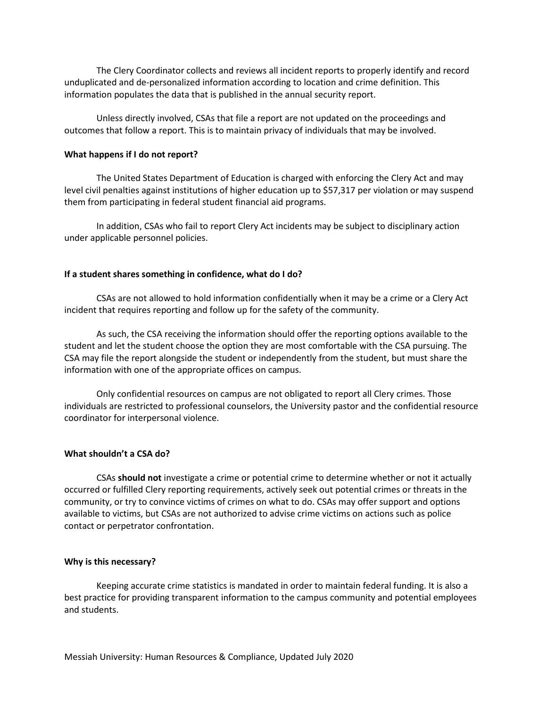The Clery Coordinator collects and reviews all incident reports to properly identify and record unduplicated and de-personalized information according to location and crime definition. This information populates the data that is published in the annual security report.

Unless directly involved, CSAs that file a report are not updated on the proceedings and outcomes that follow a report. This is to maintain privacy of individuals that may be involved.

## **What happens if I do not report?**

The United States Department of Education is charged with enforcing the Clery Act and may level civil penalties against institutions of higher education up to \$57,317 per violation or may suspend them from participating in federal student financial aid programs.

In addition, CSAs who fail to report Clery Act incidents may be subject to disciplinary action under applicable personnel policies.

#### **If a student shares something in confidence, what do I do?**

CSAs are not allowed to hold information confidentially when it may be a crime or a Clery Act incident that requires reporting and follow up for the safety of the community.

As such, the CSA receiving the information should offer the reporting options available to the student and let the student choose the option they are most comfortable with the CSA pursuing. The CSA may file the report alongside the student or independently from the student, but must share the information with one of the appropriate offices on campus.

Only confidential resources on campus are not obligated to report all Clery crimes. Those individuals are restricted to professional counselors, the University pastor and the confidential resource coordinator for interpersonal violence.

#### **What shouldn't a CSA do?**

CSAs **should not** investigate a crime or potential crime to determine whether or not it actually occurred or fulfilled Clery reporting requirements, actively seek out potential crimes or threats in the community, or try to convince victims of crimes on what to do. CSAs may offer support and options available to victims, but CSAs are not authorized to advise crime victims on actions such as police contact or perpetrator confrontation.

#### **Why is this necessary?**

Keeping accurate crime statistics is mandated in order to maintain federal funding. It is also a best practice for providing transparent information to the campus community and potential employees and students.